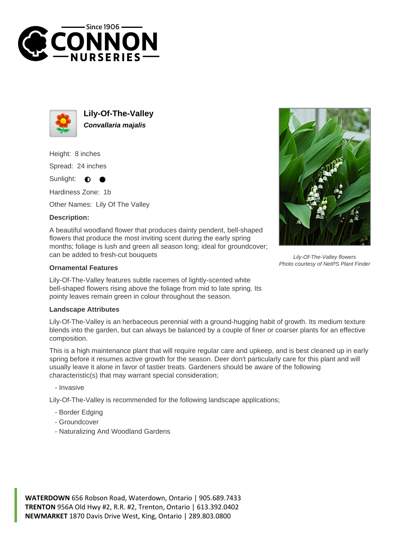



**Lily-Of-The-Valley Convallaria majalis**

Height: 8 inches Spread: 24 inches

Sunlight:  $\bullet$ 

Hardiness Zone: 1b

Other Names: Lily Of The Valley

## **Description:**

A beautiful woodland flower that produces dainty pendent, bell-shaped flowers that produce the most inviting scent during the early spring months; foliage is lush and green all season long; ideal for groundcover; can be added to fresh-cut bouquets

## **Ornamental Features**

Lily-Of-The-Valley features subtle racemes of lightly-scented white bell-shaped flowers rising above the foliage from mid to late spring. Its pointy leaves remain green in colour throughout the season.

## **Landscape Attributes**

Lily-Of-The-Valley is an herbaceous perennial with a ground-hugging habit of growth. Its medium texture blends into the garden, but can always be balanced by a couple of finer or coarser plants for an effective composition.

This is a high maintenance plant that will require regular care and upkeep, and is best cleaned up in early spring before it resumes active growth for the season. Deer don't particularly care for this plant and will usually leave it alone in favor of tastier treats. Gardeners should be aware of the following characteristic(s) that may warrant special consideration;

- Invasive

Lily-Of-The-Valley is recommended for the following landscape applications;

- Border Edging
- Groundcover
- Naturalizing And Woodland Gardens





Lily-Of-The-Valley flowers Photo courtesy of NetPS Plant Finder